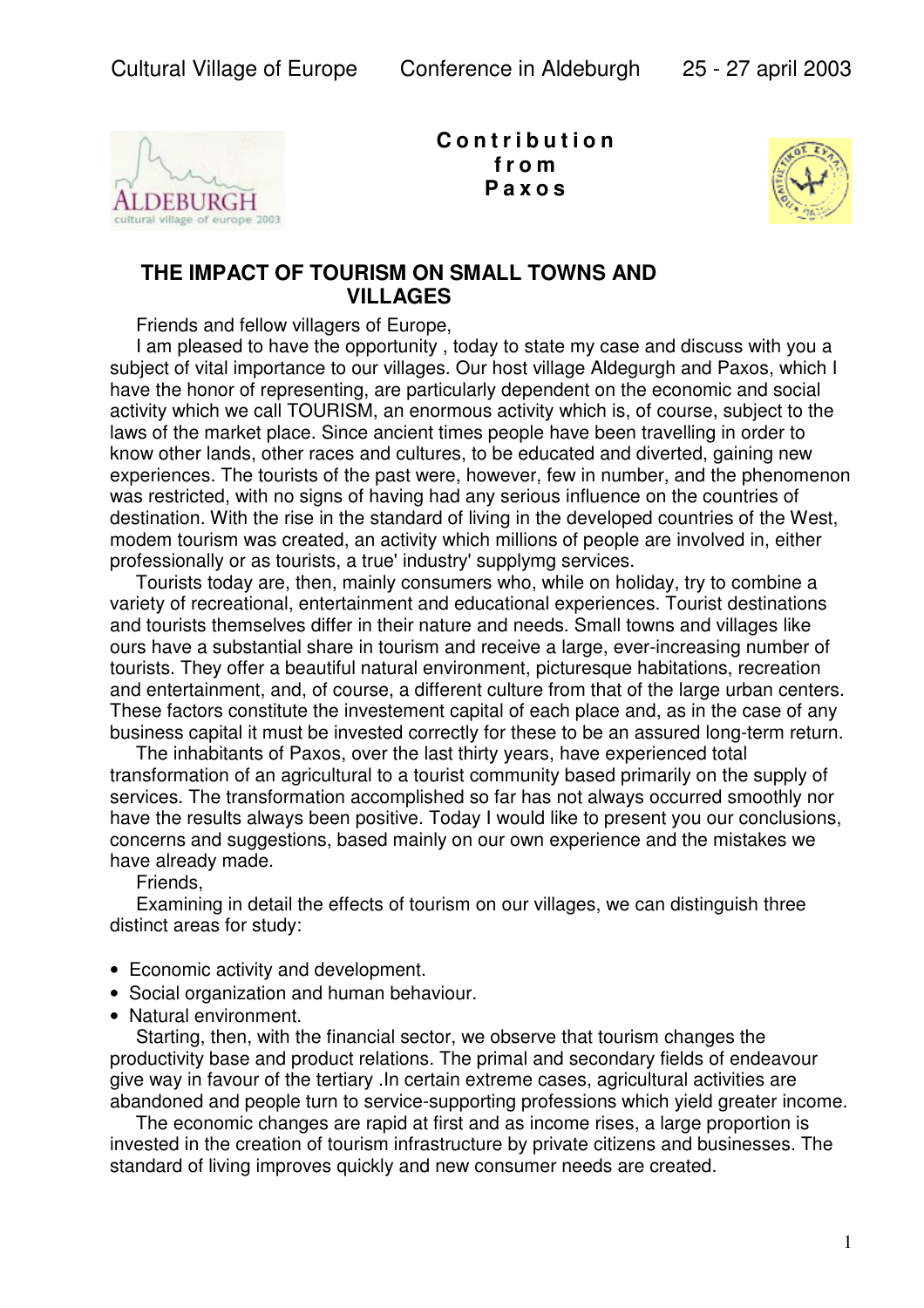

**C o n t r i b u t i o n f r o m P a x o s**



## **THE IMPACT OF TOURISM ON SMALL TOWNS AND VILLAGES**

Friends and fellow villagers of Europe,

 I am pleased to have the opportunity , today to state my case and discuss with you a subject of vital importance to our villages. Our host village Aldegurgh and Paxos, which I have the honor of representing, are particularly dependent on the economic and social activity which we call TOURISM, an enormous activity which is, of course, subject to the laws of the market place. Since ancient times people have been travelling in order to know other lands, other races and cultures, to be educated and diverted, gaining new experiences. The tourists of the past were, however, few in number, and the phenomenon was restricted, with no signs of having had any serious influence on the countries of destination. With the rise in the standard of living in the developed countries of the West, modem tourism was created, an activity which millions of people are involved in, either professionally or as tourists, a true' industry' supplymg services.

 Tourists today are, then, mainly consumers who, while on holiday, try to combine a variety of recreational, entertainment and educational experiences. Tourist destinations and tourists themselves differ in their nature and needs. Small towns and villages like ours have a substantial share in tourism and receive a large, ever-increasing number of tourists. They offer a beautiful natural environment, picturesque habitations, recreation and entertainment, and, of course, a different culture from that of the large urban centers. These factors constitute the investement capital of each place and, as in the case of any business capital it must be invested correctly for these to be an assured long-term return.

 The inhabitants of Paxos, over the last thirty years, have experienced total transformation of an agricultural to a tourist community based primarily on the supply of services. The transformation accomplished so far has not always occurred smoothly nor have the results always been positive. Today I would like to present you our conclusions, concerns and suggestions, based mainly on our own experience and the mistakes we have already made.

Friends,

 Examining in detail the effects of tourism on our villages, we can distinguish three distinct areas for study:

- Economic activity and development.
- Social organization and human behaviour.
- Natural environment.

 Starting, then, with the financial sector, we observe that tourism changes the productivity base and product relations. The primal and secondary fields of endeavour give way in favour of the tertiary .In certain extreme cases, agricultural activities are abandoned and people turn to service-supporting professions which yield greater income.

 The economic changes are rapid at first and as income rises, a large proportion is invested in the creation of tourism infrastructure by private citizens and businesses. The standard of living improves quickly and new consumer needs are created.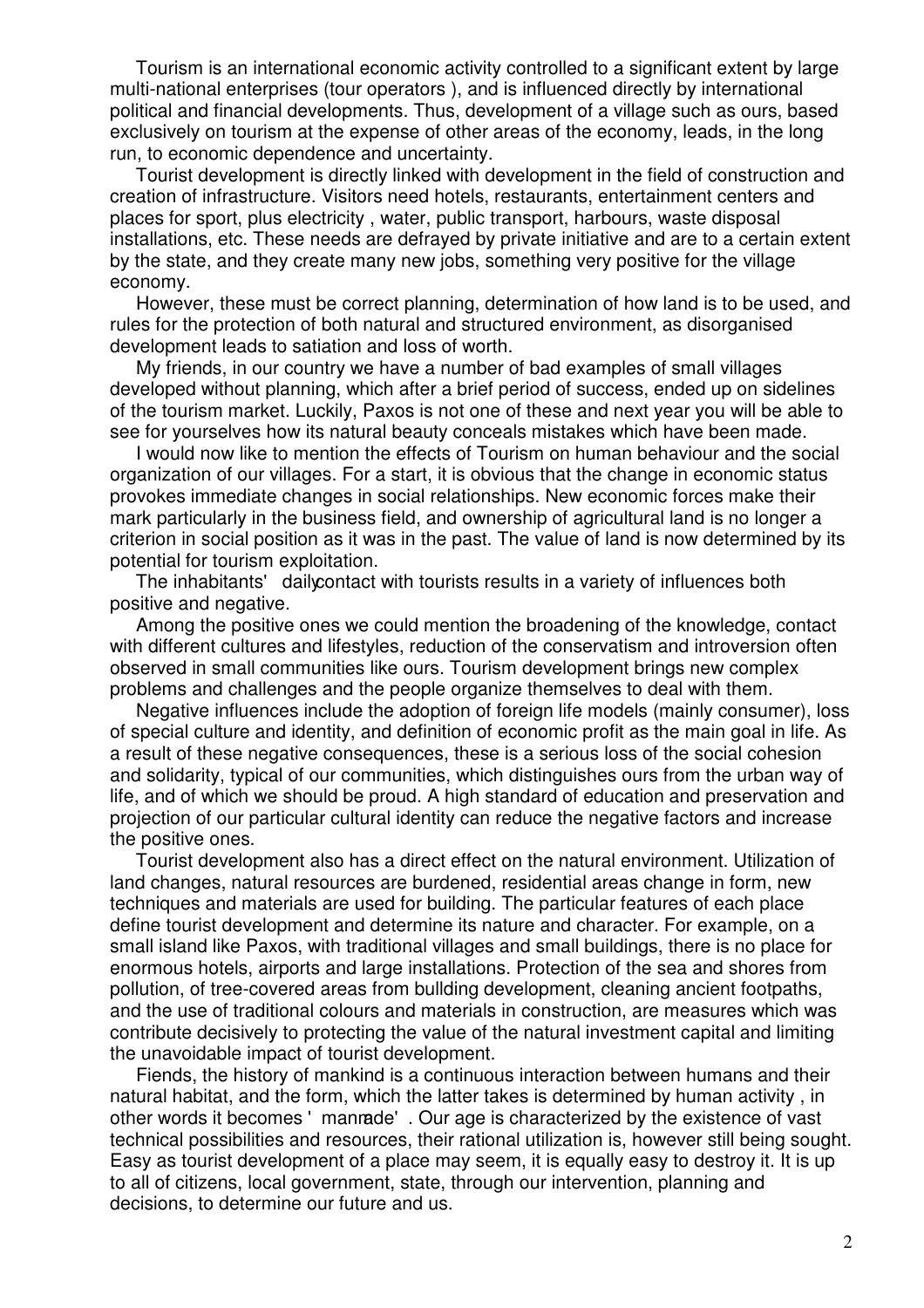Tourism is an international economic activity controlled to a significant extent by large multi-national enterprises (tour operators ), and is influenced directly by international political and financial developments. Thus, development of a village such as ours, based exclusively on tourism at the expense of other areas of the economy, leads, in the long run, to economic dependence and uncertainty.

 Tourist development is directly linked with development in the field of construction and creation of infrastructure. Visitors need hotels, restaurants, entertainment centers and places for sport, plus electricity , water, public transport, harbours, waste disposal installations, etc. These needs are defrayed by private initiative and are to a certain extent by the state, and they create many new jobs, something very positive for the village economy.

 However, these must be correct planning, determination of how land is to be used, and rules for the protection of both natural and structured environment, as disorganised development leads to satiation and loss of worth.

 My friends, in our country we have a number of bad examples of small villages developed without planning, which after a brief period of success, ended up on sidelines of the tourism market. Luckily, Paxos is not one of these and next year you will be able to see for yourselves how its natural beauty conceals mistakes which have been made.

 I would now like to mention the effects of Tourism on human behaviour and the social organization of our villages. For a start, it is obvious that the change in economic status provokes immediate changes in social relationships. New economic forces make their mark particularly in the business field, and ownership of agricultural land is no longer a criterion in social position as it was in the past. The value of land is now determined by its potential for tourism exploitation.

The inhabitants' daily contact with tourists results in a variety of influences both positive and negative.

 Among the positive ones we could mention the broadening of the knowledge, contact with different cultures and lifestyles, reduction of the conservatism and introversion often observed in small communities like ours. Tourism development brings new complex problems and challenges and the people organize themselves to deal with them.

 Negative influences include the adoption of foreign life models (mainly consumer), loss of special culture and identity, and definition of economic profit as the main goal in life. As a result of these negative consequences, these is a serious loss of the social cohesion and solidarity, typical of our communities, which distinguishes ours from the urban way of life, and of which we should be proud. A high standard of education and preservation and projection of our particular cultural identity can reduce the negative factors and increase the positive ones.

 Tourist development also has a direct effect on the natural environment. Utilization of land changes, natural resources are burdened, residential areas change in form, new techniques and materials are used for building. The particular features of each place define tourist development and determine its nature and character. For example, on a small island like Paxos, with traditional villages and small buildings, there is no place for enormous hotels, airports and large installations. Protection of the sea and shores from pollution, of tree-covered areas from bullding development, cleaning ancient footpaths, and the use of traditional colours and materials in construction, are measures which was contribute decisively to protecting the value of the natural investment capital and limiting the unavoidable impact of tourist development.

 Fiends, the history of mankind is a continuous interaction between humans and their natural habitat, and the form, which the latter takes is determined by human activity , in other words it becomes 'manmade'. Our age is characterized by the existence of vast technical possibilities and resources, their rational utilization is, however still being sought. Easy as tourist development of a place may seem, it is equally easy to destroy it. It is up to all of citizens, local government, state, through our intervention, planning and decisions, to determine our future and us.